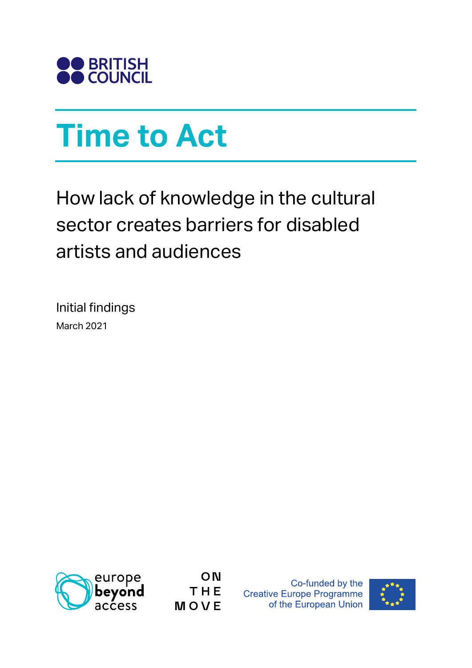

# **Time to Act**

How lack of knowledge in the cultural sector creates barriers for disabled artists and audiences

Initial findings March 2021



ON THE MOVE

Co-funded by the **Creative Europe Programme** of the European Union

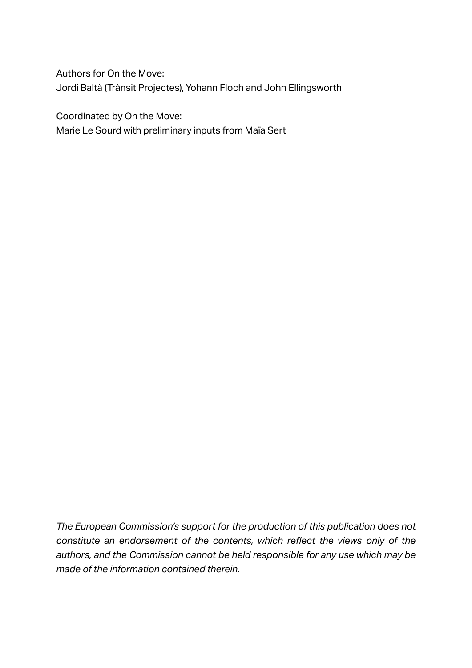Authors for On the Move: Jordi Baltà (Trànsit Projectes), Yohann Floch and John Ellingsworth

Coordinated by On the Move:

Marie Le Sourd with preliminary inputs from Maïa Sert

*The European Commission's support for the production of this publication does not constitute an endorsement of the contents, which reflect the views only of the authors, and the Commission cannot be held responsible for any use which may be made of the information contained therein.*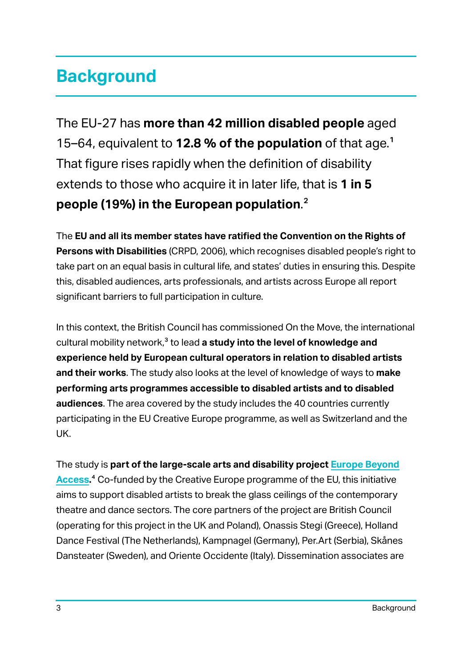# **Background**

The EU-27 has **more than 42 million disabled people** aged 15–64, equivalent to **12.8 % of the population** of that age.1 That figure rises rapidly when the definition of disability extends to those who acquire it in later life, that is **1 in 5 people (19%) in the European population**.2

The **EU and all its member states have ratified the Convention on the Rights of Persons with Disabilities** (CRPD, 2006), which recognises disabled people's right to take part on an equal basis in cultural life, and states' duties in ensuring this. Despite this, disabled audiences, arts professionals, and artists across Europe all report significant barriers to full participation in culture.

In this context, the British Council has commissioned On the Move, the international cultural mobility network,<sup>3</sup> to lead **a study into the level of knowledge and experience held by European cultural operators in relation to disabled artists and their works**. The study also looks at the level of knowledge of ways to **make performing arts programmes accessible to disabled artists and to disabled audiences**. The area covered by the study includes the 40 countries currently participating in the EU Creative Europe programme, as well as Switzerland and the UK.

The study is **part of the large-scale arts and disability project [Europe Beyond](https://www.disabilityartsinternational.org/europe-beyond-access/) [Access](https://www.disabilityartsinternational.org/europe-beyond-access/).**4 Co-funded by the Creative Europe programme of the EU, this initiative aims to support disabled artists to break the glass ceilings of the contemporary theatre and dance sectors. The core partners of the project are British Council (operating for this project in the UK and Poland), Onassis Stegi (Greece), Holland Dance Festival (The Netherlands), Kampnagel (Germany), Per.Art (Serbia), Skånes Dansteater (Sweden), and Oriente Occidente (Italy). Dissemination associates are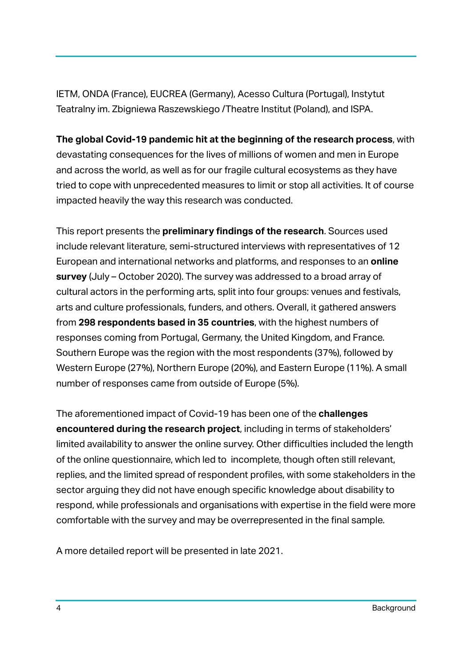IETM, ONDA (France), EUCREA (Germany), Acesso Cultura (Portugal), Instytut Teatralny im. Zbigniewa Raszewskiego /Theatre Institut (Poland), and ISPA.

**The global Covid-19 pandemic hit at the beginning of the research process**, with devastating consequences for the lives of millions of women and men in Europe and across the world, as well as for our fragile cultural ecosystems as they have tried to cope with unprecedented measures to limit or stop all activities. It of course impacted heavily the way this research was conducted.

This report presents the **preliminary findings of the research**. Sources used include relevant literature, semi-structured interviews with representatives of 12 European and international networks and platforms, and responses to an **online survey** (July – October 2020). The survey was addressed to a broad array of cultural actors in the performing arts, split into four groups: venues and festivals, arts and culture professionals, funders, and others. Overall, it gathered answers from **298 respondents based in 35 countries**, with the highest numbers of responses coming from Portugal, Germany, the United Kingdom, and France. Southern Europe was the region with the most respondents (37%), followed by Western Europe (27%), Northern Europe (20%), and Eastern Europe (11%). A small number of responses came from outside of Europe (5%).

The aforementioned impact of Covid-19 has been one of the **challenges encountered during the research project**, including in terms of stakeholders' limited availability to answer the online survey. Other difficulties included the length of the online questionnaire, which led to incomplete, though often still relevant, replies, and the limited spread of respondent profiles, with some stakeholders in the sector arguing they did not have enough specific knowledge about disability to respond, while professionals and organisations with expertise in the field were more comfortable with the survey and may be overrepresented in the final sample.

A more detailed report will be presented in late 2021.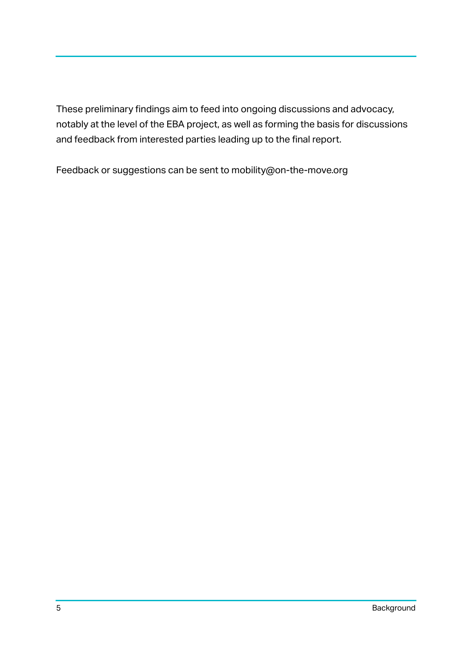These preliminary findings aim to feed into ongoing discussions and advocacy, notably at the level of the EBA project, as well as forming the basis for discussions and feedback from interested parties leading up to the final report.

Feedback or suggestions can be sent to mobility@on-the-move.org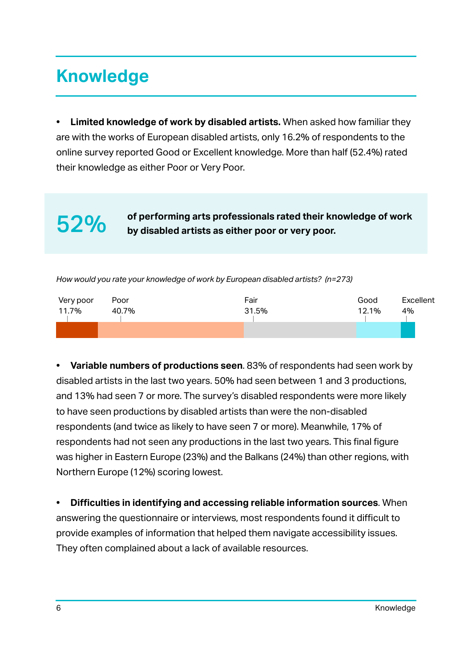# **Knowledge**

**• Limited knowledge of work by disabled artists.** When asked how familiar they are with the works of European disabled artists, only 16.2% of respondents to the online survey reported Good or Excellent knowledge. More than half (52.4%) rated their knowledge as either Poor or Very Poor.

52% **of performing arts professionals rated their knowledge of work by disabled artists as either poor or very poor.**

*How would you rate your knowledge of work by European disabled artists? (n=273)*

| Very poor | Poor  | Fair  | Good  | Excellent |
|-----------|-------|-------|-------|-----------|
| 11.7%     | 40.7% | 31.5% | 12.1% | 4%        |
|           |       |       |       |           |

**• Variable numbers of productions seen**. 83% of respondents had seen work by disabled artists in the last two years. 50% had seen between 1 and 3 productions, and 13% had seen 7 or more. The survey's disabled respondents were more likely to have seen productions by disabled artists than were the non-disabled respondents (and twice as likely to have seen 7 or more). Meanwhile, 17% of respondents had not seen any productions in the last two years. This final figure was higher in Eastern Europe (23%) and the Balkans (24%) than other regions, with Northern Europe (12%) scoring lowest.

**• Difficulties in identifying and accessing reliable information sources**. When answering the questionnaire or interviews, most respondents found it difficult to provide examples of information that helped them navigate accessibility issues. They often complained about a lack of available resources.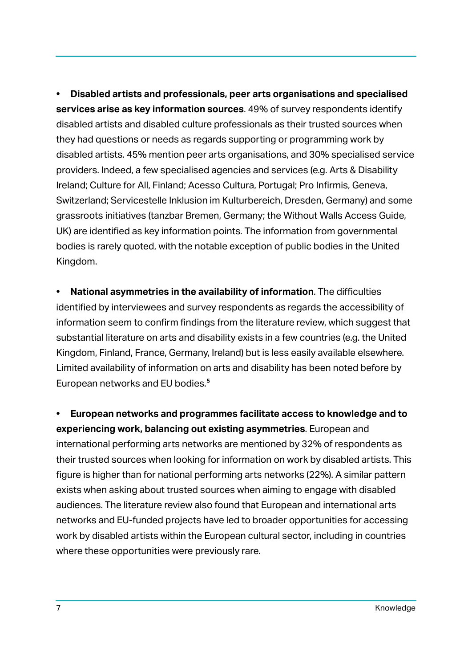**• Disabled artists and professionals, peer arts organisations and specialised services arise as key information sources**. 49% of survey respondents identify disabled artists and disabled culture professionals as their trusted sources when they had questions or needs as regards supporting or programming work by disabled artists. 45% mention peer arts organisations, and 30% specialised service providers. Indeed, a few specialised agencies and services (e.g. Arts & Disability Ireland; Culture for All, Finland; Acesso Cultura, Portugal; Pro Infirmis, Geneva, Switzerland; Servicestelle Inklusion im Kulturbereich, Dresden, Germany) and some grassroots initiatives (tanzbar Bremen, Germany; the Without Walls Access Guide, UK) are identified as key information points. The information from governmental bodies is rarely quoted, with the notable exception of public bodies in the United Kingdom.

**• National asymmetries in the availability of information**. The difficulties identified by interviewees and survey respondents as regards the accessibility of information seem to confirm findings from the literature review, which suggest that substantial literature on arts and disability exists in a few countries (e.g. the United Kingdom, Finland, France, Germany, Ireland) but is less easily available elsewhere. Limited availability of information on arts and disability has been noted before by European networks and EU bodies.<sup>5</sup>

**• European networks and programmes facilitate access to knowledge and to experiencing work, balancing out existing asymmetries**. European and international performing arts networks are mentioned by 32% of respondents as their trusted sources when looking for information on work by disabled artists. This figure is higher than for national performing arts networks (22%). A similar pattern exists when asking about trusted sources when aiming to engage with disabled audiences. The literature review also found that European and international arts networks and EU-funded projects have led to broader opportunities for accessing work by disabled artists within the European cultural sector, including in countries where these opportunities were previously rare.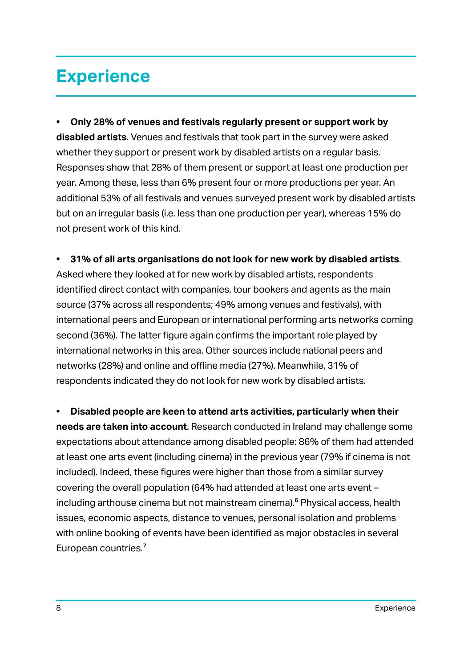### **Experience**

**• Only 28% of venues and festivals regularly present or support work by disabled artists**. Venues and festivals that took part in the survey were asked whether they support or present work by disabled artists on a regular basis. Responses show that 28% of them present or support at least one production per year. Among these, less than 6% present four or more productions per year. An additional 53% of all festivals and venues surveyed present work by disabled artists but on an irregular basis (i.e. less than one production per year), whereas 15% do not present work of this kind.

**• 31% of all arts organisations do not look for new work by disabled artists**.

Asked where they looked at for new work by disabled artists, respondents identified direct contact with companies, tour bookers and agents as the main source (37% across all respondents; 49% among venues and festivals), with international peers and European or international performing arts networks coming second (36%). The latter figure again confirms the important role played by international networks in this area. Other sources include national peers and networks (28%) and online and offline media (27%). Meanwhile, 31% of respondents indicated they do not look for new work by disabled artists.

**• Disabled people are keen to attend arts activities, particularly when their needs are taken into account**. Research conducted in Ireland may challenge some expectations about attendance among disabled people: 86% of them had attended at least one arts event (including cinema) in the previous year (79% if cinema is not included). Indeed, these figures were higher than those from a similar survey covering the overall population (64% had attended at least one arts event – including arthouse cinema but not mainstream cinema).<sup>6</sup> Physical access, health issues, economic aspects, distance to venues, personal isolation and problems with online booking of events have been identified as major obstacles in several European countries.<sup>7</sup>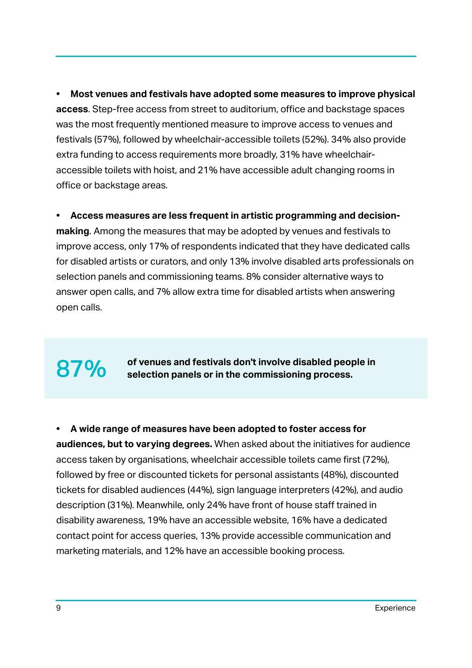**• Most venues and festivals have adopted some measures to improve physical access**. Step-free access from street to auditorium, office and backstage spaces was the most frequently mentioned measure to improve access to venues and festivals (57%), followed by wheelchair-accessible toilets (52%). 34% also provide extra funding to access requirements more broadly, 31% have wheelchairaccessible toilets with hoist, and 21% have accessible adult changing rooms in office or backstage areas.

**• Access measures are less frequent in artistic programming and decisionmaking**. Among the measures that may be adopted by venues and festivals to improve access, only 17% of respondents indicated that they have dedicated calls for disabled artists or curators, and only 13% involve disabled arts professionals on selection panels and commissioning teams. 8% consider alternative ways to answer open calls, and 7% allow extra time for disabled artists when answering open calls.

### 87% of venues and festivals don't involve disabled people in<br>87% relection panels or in the commissioning process **selection panels or in the commissioning process.**

**• A wide range of measures have been adopted to foster access for audiences, but to varying degrees.** When asked about the initiatives for audience access taken by organisations, wheelchair accessible toilets came first (72%), followed by free or discounted tickets for personal assistants (48%), discounted tickets for disabled audiences (44%), sign language interpreters (42%), and audio description (31%). Meanwhile, only 24% have front of house staff trained in disability awareness, 19% have an accessible website, 16% have a dedicated contact point for access queries, 13% provide accessible communication and marketing materials, and 12% have an accessible booking process.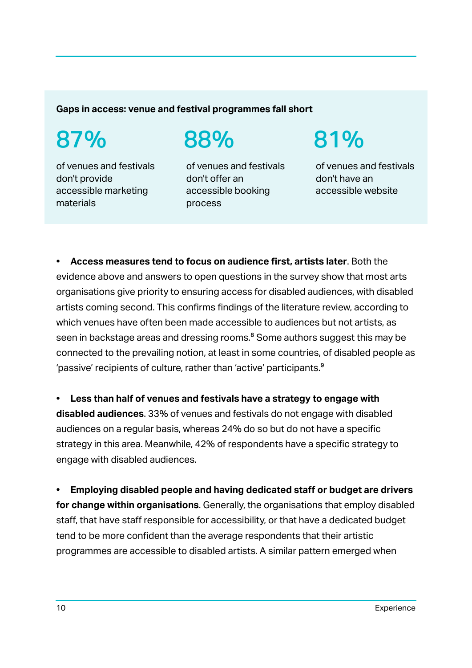**Gaps in access: venue and festival programmes fall short**

# 87%

of venues and festivals don't provide accessible marketing materials

88%

of venues and festivals don't offer an accessible booking process

81%

of venues and festivals don't have an accessible website

**• Access measures tend to focus on audience first, artists later**. Both the evidence above and answers to open questions in the survey show that most arts organisations give priority to ensuring access for disabled audiences, with disabled artists coming second. This confirms findings of the literature review, according to which venues have often been made accessible to audiences but not artists, as seen in backstage areas and dressing rooms.<sup>8</sup> Some authors suggest this may be connected to the prevailing notion, at least in some countries, of disabled people as 'passive' recipients of culture, rather than 'active' participants.<sup>9</sup>

**• Less than half of venues and festivals have a strategy to engage with disabled audiences**. 33% of venues and festivals do not engage with disabled audiences on a regular basis, whereas 24% do so but do not have a specific strategy in this area. Meanwhile, 42% of respondents have a specific strategy to engage with disabled audiences.

**• Employing disabled people and having dedicated staff or budget are drivers for change within organisations**. Generally, the organisations that employ disabled staff, that have staff responsible for accessibility, or that have a dedicated budget tend to be more confident than the average respondents that their artistic programmes are accessible to disabled artists. A similar pattern emerged when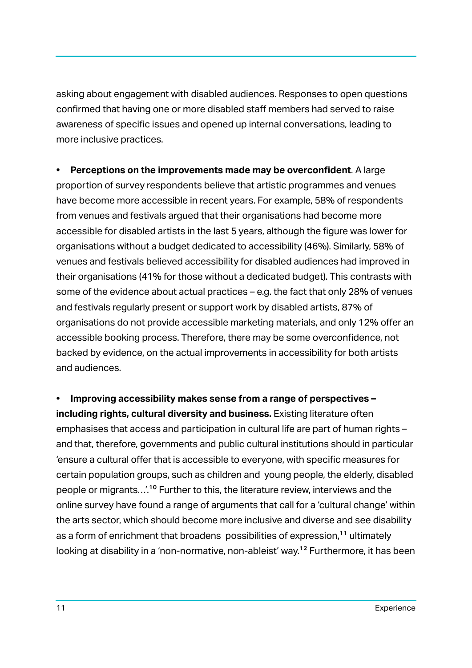asking about engagement with disabled audiences. Responses to open questions confirmed that having one or more disabled staff members had served to raise awareness of specific issues and opened up internal conversations, leading to more inclusive practices.

**• Perceptions on the improvements made may be overconfident**. A large proportion of survey respondents believe that artistic programmes and venues have become more accessible in recent years. For example, 58% of respondents from venues and festivals argued that their organisations had become more accessible for disabled artists in the last 5 years, although the figure was lower for organisations without a budget dedicated to accessibility (46%). Similarly, 58% of venues and festivals believed accessibility for disabled audiences had improved in their organisations (41% for those without a dedicated budget). This contrasts with some of the evidence about actual practices – e.g. the fact that only 28% of venues and festivals regularly present or support work by disabled artists, 87% of organisations do not provide accessible marketing materials, and only 12% offer an accessible booking process. Therefore, there may be some overconfidence, not backed by evidence, on the actual improvements in accessibility for both artists and audiences.

**• Improving accessibility makes sense from a range of perspectives – including rights, cultural diversity and business.** Existing literature often emphasises that access and participation in cultural life are part of human rights – and that, therefore, governments and public cultural institutions should in particular 'ensure a cultural offer that is accessible to everyone, with specific measures for certain population groups, such as children and young people, the elderly, disabled people or migrants…'.10 Further to this, the literature review, interviews and the online survey have found a range of arguments that call for a 'cultural change' within the arts sector, which should become more inclusive and diverse and see disability as a form of enrichment that broadens possibilities of expression,<sup>11</sup> ultimately looking at disability in a 'non-normative, non-ableist' way.<sup>12</sup> Furthermore, it has been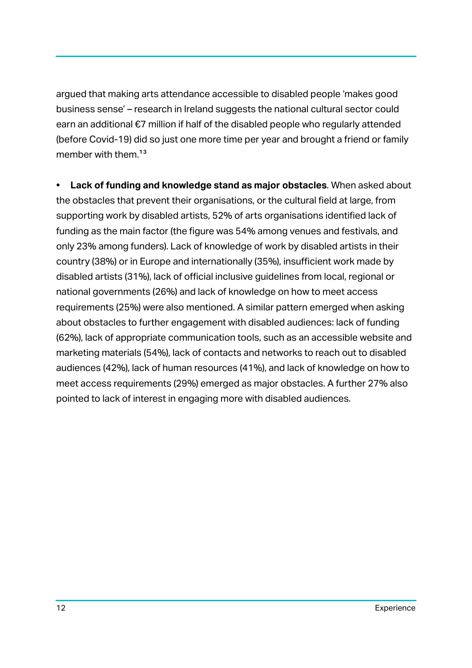argued that making arts attendance accessible to disabled people 'makes good business sense' – research in Ireland suggests the national cultural sector could earn an additional €7 million if half of the disabled people who regularly attended (before Covid-19) did so just one more time per year and brought a friend or family member with them.<sup>13</sup>

**• Lack of funding and knowledge stand as major obstacles**. When asked about the obstacles that prevent their organisations, or the cultural field at large, from supporting work by disabled artists, 52% of arts organisations identified lack of funding as the main factor (the figure was 54% among venues and festivals, and only 23% among funders). Lack of knowledge of work by disabled artists in their country (38%) or in Europe and internationally (35%), insufficient work made by disabled artists (31%), lack of official inclusive guidelines from local, regional or national governments (26%) and lack of knowledge on how to meet access requirements (25%) were also mentioned. A similar pattern emerged when asking about obstacles to further engagement with disabled audiences: lack of funding (62%), lack of appropriate communication tools, such as an accessible website and marketing materials (54%), lack of contacts and networks to reach out to disabled audiences (42%), lack of human resources (41%), and lack of knowledge on how to meet access requirements (29%) emerged as major obstacles. A further 27% also pointed to lack of interest in engaging more with disabled audiences.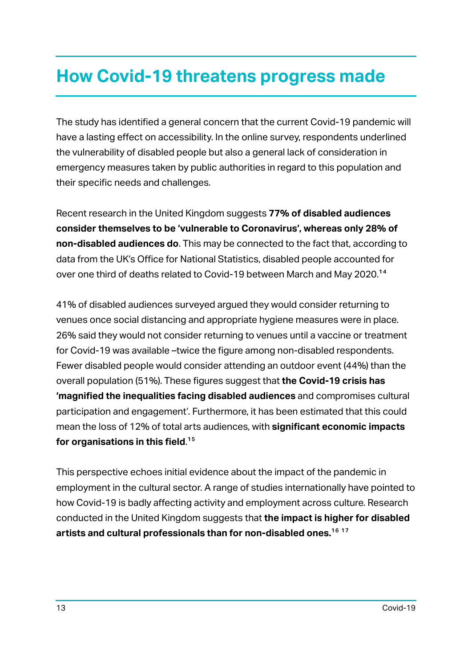## **How Covid-19 threatens progress made**

The study has identified a general concern that the current Covid-19 pandemic will have a lasting effect on accessibility. In the online survey, respondents underlined the vulnerability of disabled people but also a general lack of consideration in emergency measures taken by public authorities in regard to this population and their specific needs and challenges.

Recent research in the United Kingdom suggests **77% of disabled audiences consider themselves to be 'vulnerable to Coronavirus', whereas only 28% of non-disabled audiences do**. This may be connected to the fact that, according to data from the UK's Office for National Statistics, disabled people accounted for over one third of deaths related to Covid-19 between March and May 2020.14

41% of disabled audiences surveyed argued they would consider returning to venues once social distancing and appropriate hygiene measures were in place. 26% said they would not consider returning to venues until a vaccine or treatment for Covid-19 was available –twice the figure among non-disabled respondents. Fewer disabled people would consider attending an outdoor event (44%) than the overall population (51%). These figures suggest that **the Covid-19 crisis has 'magnified the inequalities facing disabled audiences** and compromises cultural participation and engagement'. Furthermore, it has been estimated that this could mean the loss of 12% of total arts audiences, with **significant economic impacts for organisations in this field**.15

This perspective echoes initial evidence about the impact of the pandemic in employment in the cultural sector. A range of studies internationally have pointed to how Covid-19 is badly affecting activity and employment across culture. Research conducted in the United Kingdom suggests that **the impact is higher for disabled artists and cultural professionals than for non-disabled ones.**16 17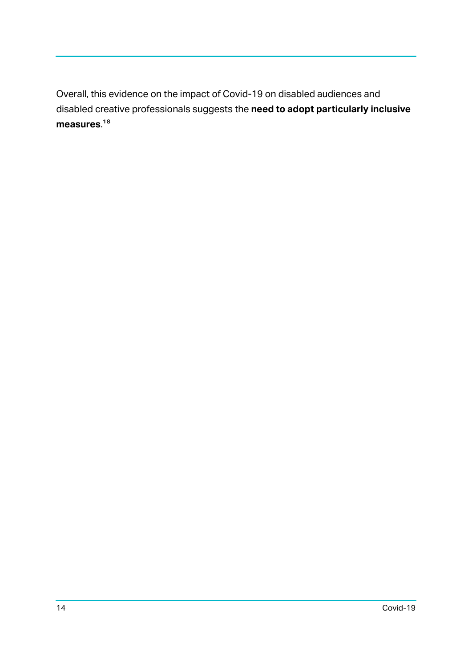Overall, this evidence on the impact of Covid-19 on disabled audiences and disabled creative professionals suggests the **need to adopt particularly inclusive measures**.18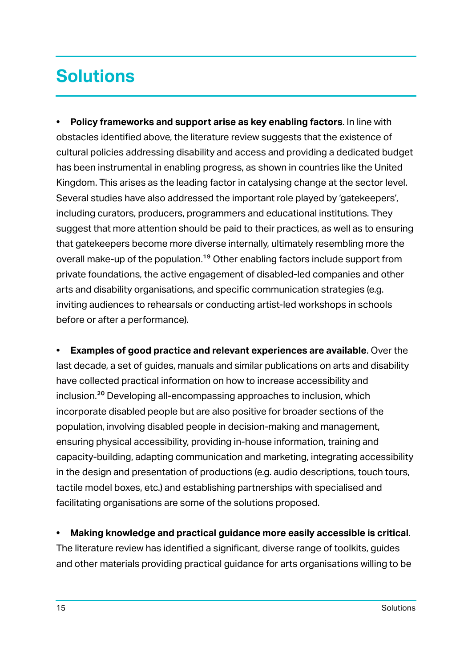# **Solutions**

**• Policy frameworks and support arise as key enabling factors**. In line with obstacles identified above, the literature review suggests that the existence of cultural policies addressing disability and access and providing a dedicated budget has been instrumental in enabling progress, as shown in countries like the United Kingdom. This arises as the leading factor in catalysing change at the sector level. Several studies have also addressed the important role played by 'gatekeepers', including curators, producers, programmers and educational institutions. They suggest that more attention should be paid to their practices, as well as to ensuring that gatekeepers become more diverse internally, ultimately resembling more the overall make-up of the population.<sup>19</sup> Other enabling factors include support from private foundations, the active engagement of disabled-led companies and other arts and disability organisations, and specific communication strategies (e.g. inviting audiences to rehearsals or conducting artist-led workshops in schools before or after a performance).

**• Examples of good practice and relevant experiences are available**. Over the last decade, a set of guides, manuals and similar publications on arts and disability have collected practical information on how to increase accessibility and inclusion.20 Developing all-encompassing approaches to inclusion, which incorporate disabled people but are also positive for broader sections of the population, involving disabled people in decision-making and management, ensuring physical accessibility, providing in-house information, training and capacity-building, adapting communication and marketing, integrating accessibility in the design and presentation of productions (e.g. audio descriptions, touch tours, tactile model boxes, etc.) and establishing partnerships with specialised and facilitating organisations are some of the solutions proposed.

**• Making knowledge and practical guidance more easily accessible is critical**. The literature review has identified a significant, diverse range of toolkits, guides and other materials providing practical guidance for arts organisations willing to be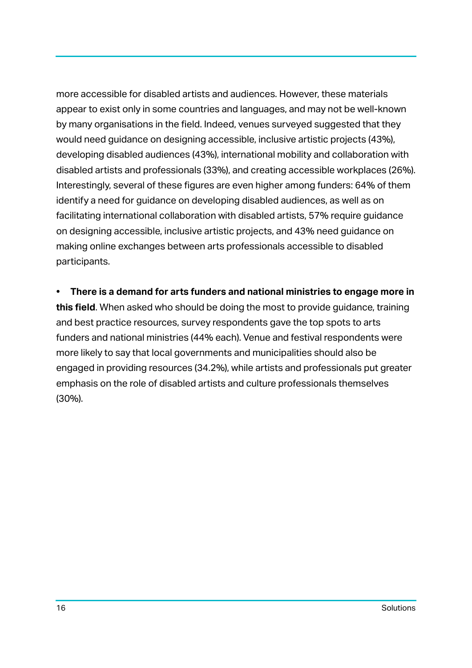more accessible for disabled artists and audiences. However, these materials appear to exist only in some countries and languages, and may not be well-known by many organisations in the field. Indeed, venues surveyed suggested that they would need guidance on designing accessible, inclusive artistic projects (43%), developing disabled audiences (43%), international mobility and collaboration with disabled artists and professionals (33%), and creating accessible workplaces (26%). Interestingly, several of these figures are even higher among funders: 64% of them identify a need for guidance on developing disabled audiences, as well as on facilitating international collaboration with disabled artists, 57% require guidance on designing accessible, inclusive artistic projects, and 43% need guidance on making online exchanges between arts professionals accessible to disabled participants.

**• There is a demand for arts funders and national ministries to engage more in this field**. When asked who should be doing the most to provide guidance, training and best practice resources, survey respondents gave the top spots to arts funders and national ministries (44% each). Venue and festival respondents were more likely to say that local governments and municipalities should also be engaged in providing resources (34.2%), while artists and professionals put greater emphasis on the role of disabled artists and culture professionals themselves (30%).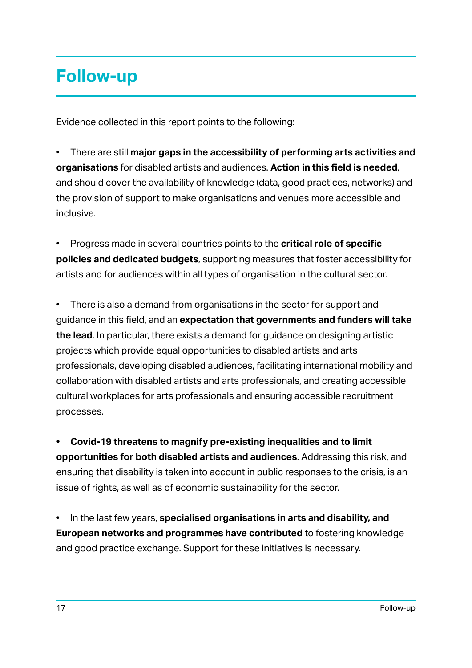# **Follow-up**

Evidence collected in this report points to the following:

• There are still **major gaps in the accessibility of performing arts activities and organisations** for disabled artists and audiences. **Action in this field is needed**, and should cover the availability of knowledge (data, good practices, networks) and the provision of support to make organisations and venues more accessible and inclusive.

• Progress made in several countries points to the **critical role of specific policies and dedicated budgets**, supporting measures that foster accessibility for artists and for audiences within all types of organisation in the cultural sector.

• There is also a demand from organisations in the sector for support and guidance in this field, and an **expectation that governments and funders will take the lead**. In particular, there exists a demand for guidance on designing artistic projects which provide equal opportunities to disabled artists and arts professionals, developing disabled audiences, facilitating international mobility and collaboration with disabled artists and arts professionals, and creating accessible cultural workplaces for arts professionals and ensuring accessible recruitment processes.

**• Covid-19 threatens to magnify pre-existing inequalities and to limit opportunities for both disabled artists and audiences**. Addressing this risk, and ensuring that disability is taken into account in public responses to the crisis, is an issue of rights, as well as of economic sustainability for the sector.

• In the last few years, **specialised organisations in arts and disability, and European networks and programmes have contributed** to fostering knowledge and good practice exchange. Support for these initiatives is necessary.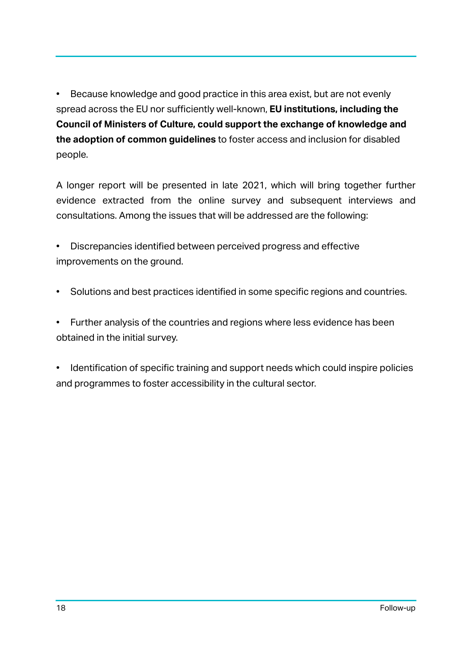• Because knowledge and good practice in this area exist, but are not evenly spread across the EU nor sufficiently well-known, **EU institutions, including the Council of Ministers of Culture, could support the exchange of knowledge and the adoption of common guidelines** to foster access and inclusion for disabled people.

A longer report will be presented in late 2021, which will bring together further evidence extracted from the online survey and subsequent interviews and consultations. Among the issues that will be addressed are the following:

• Discrepancies identified between perceived progress and effective improvements on the ground.

• Solutions and best practices identified in some specific regions and countries.

• Further analysis of the countries and regions where less evidence has been obtained in the initial survey.

• Identification of specific training and support needs which could inspire policies and programmes to foster accessibility in the cultural sector.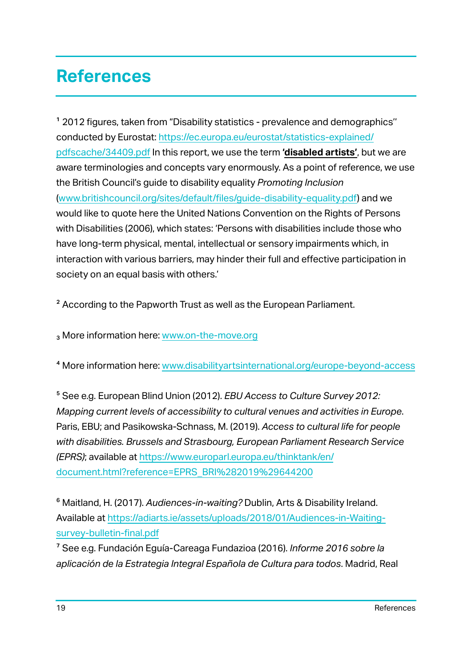# **References**

1 2012 figures, taken from "Disability statistics - prevalence and demographics'' conducted by Eurostat: https://ec.europa.eu/eurostat/statistics-explained/ pdfscache/34409.pdf In this report, we use the term **'disabled artists'**, but we are aware terminologies and concepts vary enormously. As a point of reference, we use the British Council's guide to disability equality *Promoting Inclusion* (www.britishcouncil.org/sites/default/files/guide-disability-equality.pdf) and we would like to quote here the United Nations Convention on the Rights of Persons with Disabilities (2006), which states: 'Persons with disabilities include those who have long-term physical, mental, intellectual or sensory impairments which, in interaction with various barriers, may hinder their full and effective participation in society on an equal basis with others.'

<sup>2</sup> According to the Papworth Trust as well as the European Parliament.

3 More information here: www.on-the-move.org

4 More information here: www.disabilityartsinternational.org/europe-beyond-access

5 See e.g. European Blind Union (2012). *EBU Access to Culture Survey 2012: Mapping current levels of accessibility to cultural venues and activities in Europe*. Paris, EBU; and Pasikowska-Schnass, M. (2019). *Access to cultural life for people with disabilities. Brussels and Strasbourg, European Parliament Research Service (EPRS)*; available at https://www.europarl.europa.eu/thinktank/en/ document.html?reference=EPRS\_BRI%282019%29644200

6 Maitland, H. (2017). *Audiences-in-waiting?* Dublin, Arts & Disability Ireland. Available at https://adiarts.ie/assets/uploads/2018/01/Audiences-in-Waitingsurvey-bulletin-final.pdf

7 See e.g. Fundación Eguía-Careaga Fundazioa (2016). *Informe 2016 sobre la aplicación de la Estrategia Integral Española de Cultura para todos*. Madrid, Real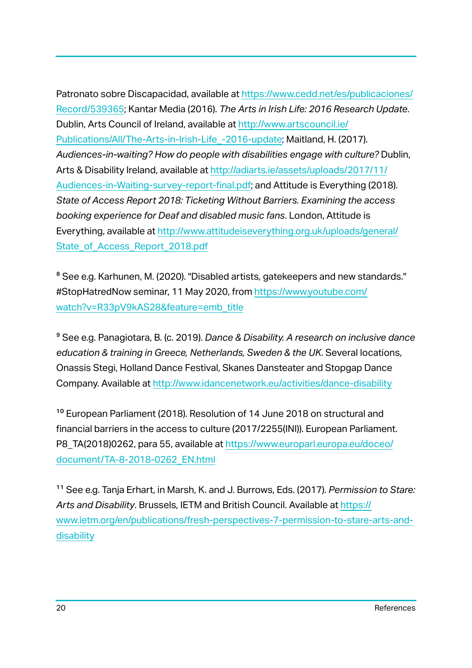Patronato sobre Discapacidad, available at https://www.cedd.net/es/publicaciones/ Record/539365; Kantar Media (2016). *The Arts in Irish Life: 2016 Research Update*. Dublin, Arts Council of Ireland, available at http://www.artscouncil.ie/ Publications/All/The-Arts-in-Irish-Life\_-2016-update; Maitland, H. (2017). *Audiences-in-waiting? How do people with disabilities engage with culture?* Dublin, Arts & Disability Ireland, available at http://adiarts.ie/assets/uploads/2017/11/ Audiences-in-Waiting-survey-report-final.pdf; and Attitude is Everything (2018). *State of Access Report 2018: Ticketing Without Barriers. Examining the access booking experience for Deaf and disabled music fans*. London, Attitude is Everything, available at http://www.attitudeiseverything.org.uk/uploads/general/ State of Access Report 2018.pdf

<sup>8</sup> See e.g. Karhunen, M. (2020). "Disabled artists, gatekeepers and new standards." #StopHatredNow seminar, 11 May 2020, from https://www.youtube.com/ watch?v=R33pV9kAS28&feature=emb\_title

9 See e.g. Panagiotara, B. (c. 2019). *Dance & Disability. A research on inclusive dance education & training in Greece, Netherlands, Sweden & the UK*. Several locations, Onassis Stegi, Holland Dance Festival, Skanes Dansteater and Stopgap Dance Company. Available at http://www.idancenetwork.eu/activities/dance-disability

10 European Parliament (2018). Resolution of 14 June 2018 on structural and financial barriers in the access to culture (2017/2255(INI)). European Parliament. P8\_TA(2018)0262, para 55, available at https://www.europarl.europa.eu/doceo/ document/TA-8-2018-0262\_EN.html

11 See e.g. Tanja Erhart, in Marsh, K. and J. Burrows, Eds. (2017). *Permission to Stare: Arts and Disability*. Brussels, IETM and British Council. Available at https:// www.ietm.org/en/publications/fresh-perspectives-7-permission-to-stare-arts-anddisability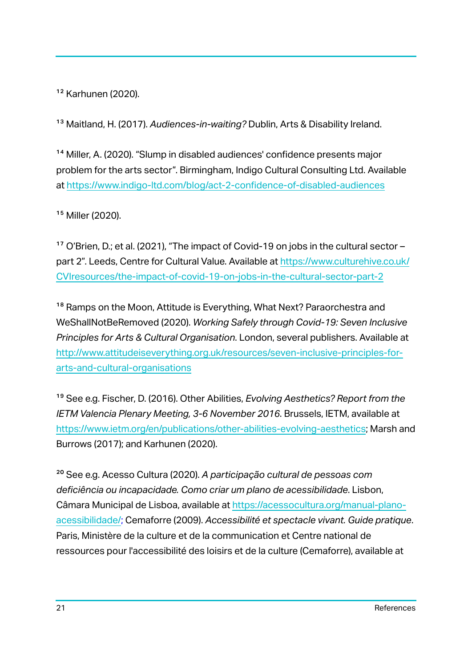12 Karhunen (2020).

13 Maitland, H. (2017). *Audiences-in-waiting?* Dublin, Arts & Disability Ireland.

14 Miller, A. (2020). "Slump in disabled audiences' confidence presents major problem for the arts sector". Birmingham, Indigo Cultural Consulting Ltd. Available at https://www.indigo-ltd.com/blog/act-2-confidence-of-disabled-audiences

15 Miller (2020).

17 O'Brien, D.; et al. (2021), "The impact of Covid-19 on jobs in the cultural sector – part 2". Leeds, Centre for Cultural Value. Available at https://www.culturehive.co.uk/ CVIresources/the-impact-of-covid-19-on-jobs-in-the-cultural-sector-part-2

<sup>18</sup> Ramps on the Moon, Attitude is Everything, What Next? Paraorchestra and WeShallNotBeRemoved (2020). *Working Safely through Covid-19: Seven Inclusive Principles for Arts & Cultural Organisation*. London, several publishers. Available at http://www.attitudeiseverything.org.uk/resources/seven-inclusive-principles-forarts-and-cultural-organisations

19 See e.g. Fischer, D. (2016). Other Abilities, *Evolving Aesthetics? Report from the IETM Valencia Plenary Meeting, 3-6 November 2016*. Brussels, IETM, available at https://www.ietm.org/en/publications/other-abilities-evolving-aesthetics; Marsh and Burrows (2017); and Karhunen (2020).

20 See e.g. Acesso Cultura (2020). *A participação cultural de pessoas com deficiência ou incapacidade. Como criar um plano de acessibilidade*. Lisbon, Câmara Municipal de Lisboa, available at https://acessocultura.org/manual-planoacessibilidade/; Cemaforre (2009). *Accessibilité et spectacle vivant. Guide pratique*. Paris, Ministère de la culture et de la communication et Centre national de ressources pour l'accessibilité des loisirs et de la culture (Cemaforre), available at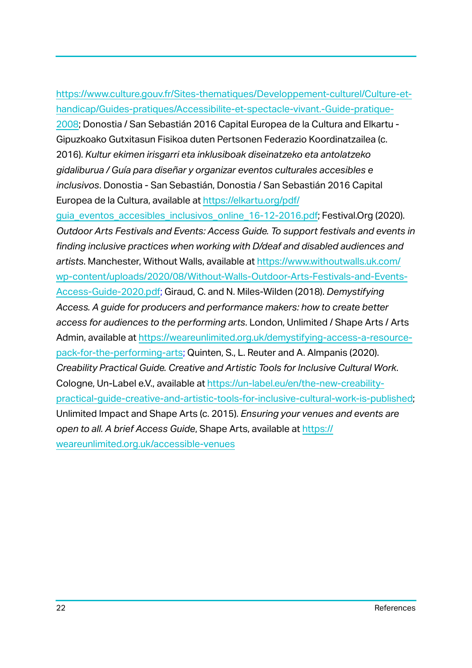### https://www.culture.gouv.fr/Sites-thematiques/Developpement-culturel/Culture-ethandicap/Guides-pratiques/Accessibilite-et-spectacle-vivant.-Guide-pratique-2008; Donostia / San Sebastián 2016 Capital Europea de la Cultura and Elkartu - Gipuzkoako Gutxitasun Fisikoa duten Pertsonen Federazio Koordinatzailea (c. 2016). *Kultur ekimen irisgarri eta inklusiboak diseinatzeko eta antolatzeko gidaliburua / Guía para diseñar y organizar eventos culturales accesibles e inclusivos*. Donostia - San Sebastián, Donostia / San Sebastián 2016 Capital Europea de la Cultura, available at https://elkartu.org/pdf/

guia eventos accesibles inclusivos online 16-12-2016.pdf; Festival.Org (2020). *Outdoor Arts Festivals and Events: Access Guide. To support festivals and events in finding inclusive practices when working with D/deaf and disabled audiences and artists*. Manchester, Without Walls, available at https://www.withoutwalls.uk.com/ wp-content/uploads/2020/08/Without-Walls-Outdoor-Arts-Festivals-and-Events-Access-Guide-2020.pdf; Giraud, C. and N. Miles-Wilden (2018). *Demystifying Access. A guide for producers and performance makers: how to create better access for audiences to the performing arts*. London, Unlimited / Shape Arts / Arts Admin, available at https://weareunlimited.org.uk/demystifying-access-a-resourcepack-for-the-performing-arts; Quinten, S., L. Reuter and A. Almpanis (2020). *Creability Practical Guide. Creative and Artistic Tools for Inclusive Cultural Work*. Cologne, Un-Label e.V., available at https://un-label.eu/en/the-new-creabilitypractical-guide-creative-and-artistic-tools-for-inclusive-cultural-work-is-published; Unlimited Impact and Shape Arts (c. 2015). *Ensuring your venues and events are open to all. A brief Access Guide*, Shape Arts, available at https:// weareunlimited.org.uk/accessible-venues